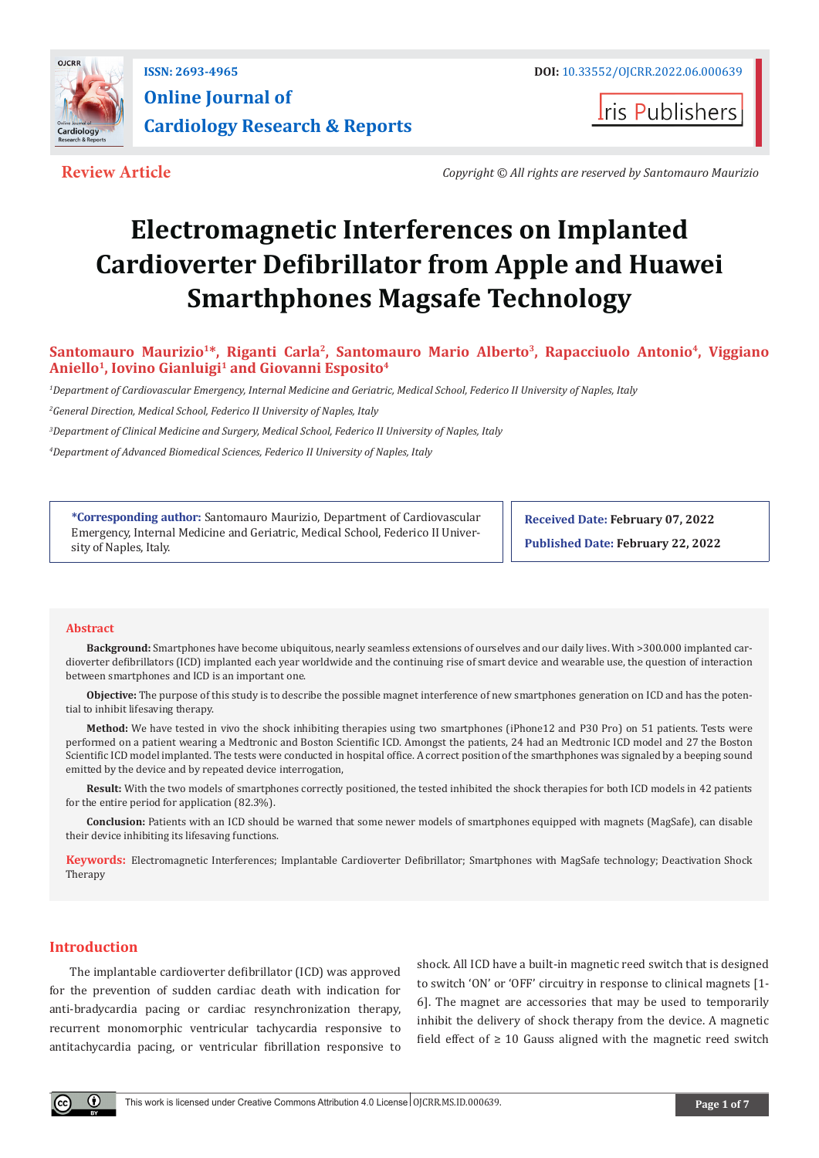

**Iris Publishers** 

**Review Article** *Copyright © All rights are reserved by Santomauro Maurizio*

# **Electromagnetic Interferences on Implanted Cardioverter Defibrillator from Apple and Huawei Smarthphones Magsafe Technology**

**Santomauro Maurizio1\*, Riganti Carla2, Santomauro Mario Alberto<sup>3</sup>, Rapacciuolo Antonio4, Viggiano**  Aniello<sup>1</sup>, Iovino Gianluigi<sup>1</sup> and Giovanni Esposito<sup>4</sup>

*1 Department of Cardiovascular Emergency, Internal Medicine and Geriatric, Medical School, Federico II University of Naples, Italy*

*2 General Direction, Medical School, Federico II University of Naples, Italy* 

*3 Department of Clinical Medicine and Surgery, Medical School, Federico II University of Naples, Italy*

*4 Department of Advanced Biomedical Sciences, Federico II University of Naples, Italy*

**\*Corresponding author:** Santomauro Maurizio, Department of Cardiovascular Emergency, Internal Medicine and Geriatric, Medical School, Federico II University of Naples, Italy.

**Received Date: February 07, 2022**

**Published Date: February 22, 2022**

### **Abstract**

**Background:** Smartphones have become ubiquitous, nearly seamless extensions of ourselves and our daily lives. With >300.000 implanted cardioverter defibrillators (ICD) implanted each year worldwide and the continuing rise of smart device and wearable use, the question of interaction between smartphones and ICD is an important one.

**Objective:** The purpose of this study is to describe the possible magnet interference of new smartphones generation on ICD and has the potential to inhibit lifesaving therapy.

**Method:** We have tested in vivo the shock inhibiting therapies using two smartphones (iPhone12 and P30 Pro) on 51 patients. Tests were performed on a patient wearing a Medtronic and Boston Scientific ICD. Amongst the patients, 24 had an Medtronic ICD model and 27 the Boston Scientific ICD model implanted. The tests were conducted in hospital office. A correct position of the smarthphones was signaled by a beeping sound emitted by the device and by repeated device interrogation,

**Result:** With the two models of smartphones correctly positioned, the tested inhibited the shock therapies for both ICD models in 42 patients for the entire period for application (82.3%).

**Conclusion:** Patients with an ICD should be warned that some newer models of smartphones equipped with magnets (MagSafe), can disable their device inhibiting its lifesaving functions.

**Keywords:** Electromagnetic Interferences; Implantable Cardioverter Defibrillator; Smartphones with MagSafe technology; Deactivation Shock Therapy

## **Introduction**

The implantable cardioverter defibrillator (ICD) was approved for the prevention of sudden cardiac death with indication for anti-bradycardia pacing or cardiac resynchronization therapy, recurrent monomorphic ventricular tachycardia responsive to antitachycardia pacing, or ventricular fibrillation responsive to

shock. All ICD have a built-in magnetic reed switch that is designed to switch 'ON' or 'OFF' circuitry in response to clinical magnets [1- 6]. The magnet are accessories that may be used to temporarily inhibit the delivery of shock therapy from the device. A magnetic field effect of  $\geq 10$  Gauss aligned with the magnetic reed switch

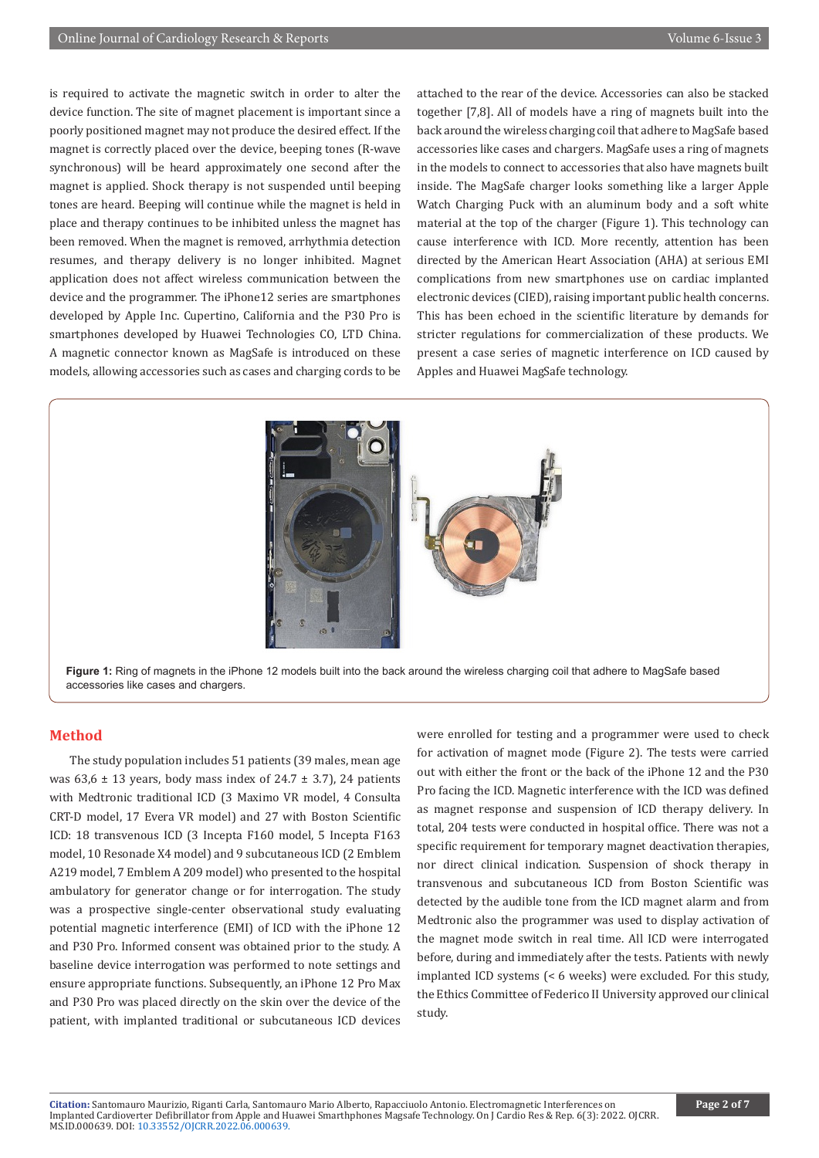is required to activate the magnetic switch in order to alter the device function. The site of magnet placement is important since a poorly positioned magnet may not produce the desired effect. If the magnet is correctly placed over the device, beeping tones (R-wave synchronous) will be heard approximately one second after the magnet is applied. Shock therapy is not suspended until beeping tones are heard. Beeping will continue while the magnet is held in place and therapy continues to be inhibited unless the magnet has been removed. When the magnet is removed, arrhythmia detection resumes, and therapy delivery is no longer inhibited. Magnet application does not affect wireless communication between the device and the programmer. The iPhone12 series are smartphones developed by Apple Inc. Cupertino, California and the P30 Pro is smartphones developed by Huawei Technologies CO, LTD China. A magnetic connector known as MagSafe is introduced on these models, allowing accessories such as cases and charging cords to be

attached to the rear of the device. Accessories can also be stacked together [7,8]. All of models have a ring of magnets built into the back around the wireless charging coil that adhere to MagSafe based accessories like cases and chargers. MagSafe uses a ring of magnets in the models to connect to accessories that also have magnets built inside. The MagSafe charger looks something like a larger Apple Watch Charging Puck with an aluminum body and a soft white material at the top of the charger (Figure 1). This technology can cause interference with ICD. More recently, attention has been directed by the American Heart Association (AHA) at serious EMI complications from new smartphones use on cardiac implanted electronic devices (CIED), raising important public health concerns. This has been echoed in the scientific literature by demands for stricter regulations for commercialization of these products. We present a case series of magnetic interference on ICD caused by Apples and Huawei MagSafe technology.



accessories like cases and chargers.

## **Method**

The study population includes 51 patients (39 males, mean age was  $63.6 \pm 13$  years, body mass index of  $24.7 \pm 3.7$ ), 24 patients with Medtronic traditional ICD (3 Maximo VR model, 4 Consulta CRT-D model, 17 Evera VR model) and 27 with Boston Scientific ICD: 18 transvenous ICD (3 Incepta F160 model, 5 Incepta F163 model, 10 Resonade X4 model) and 9 subcutaneous ICD (2 Emblem A219 model, 7 Emblem A 209 model) who presented to the hospital ambulatory for generator change or for interrogation. The study was a prospective single-center observational study evaluating potential magnetic interference (EMI) of ICD with the iPhone 12 and P30 Pro. Informed consent was obtained prior to the study. A baseline device interrogation was performed to note settings and ensure appropriate functions. Subsequently, an iPhone 12 Pro Max and P30 Pro was placed directly on the skin over the device of the patient, with implanted traditional or subcutaneous ICD devices

were enrolled for testing and a programmer were used to check for activation of magnet mode (Figure 2). The tests were carried out with either the front or the back of the iPhone 12 and the P30 Pro facing the ICD. Magnetic interference with the ICD was defined as magnet response and suspension of ICD therapy delivery. In total, 204 tests were conducted in hospital office. There was not a specific requirement for temporary magnet deactivation therapies, nor direct clinical indication. Suspension of shock therapy in transvenous and subcutaneous ICD from Boston Scientific was detected by the audible tone from the ICD magnet alarm and from Medtronic also the programmer was used to display activation of the magnet mode switch in real time. All ICD were interrogated before, during and immediately after the tests. Patients with newly implanted ICD systems (< 6 weeks) were excluded. For this study, the Ethics Committee of Federico II University approved our clinical study.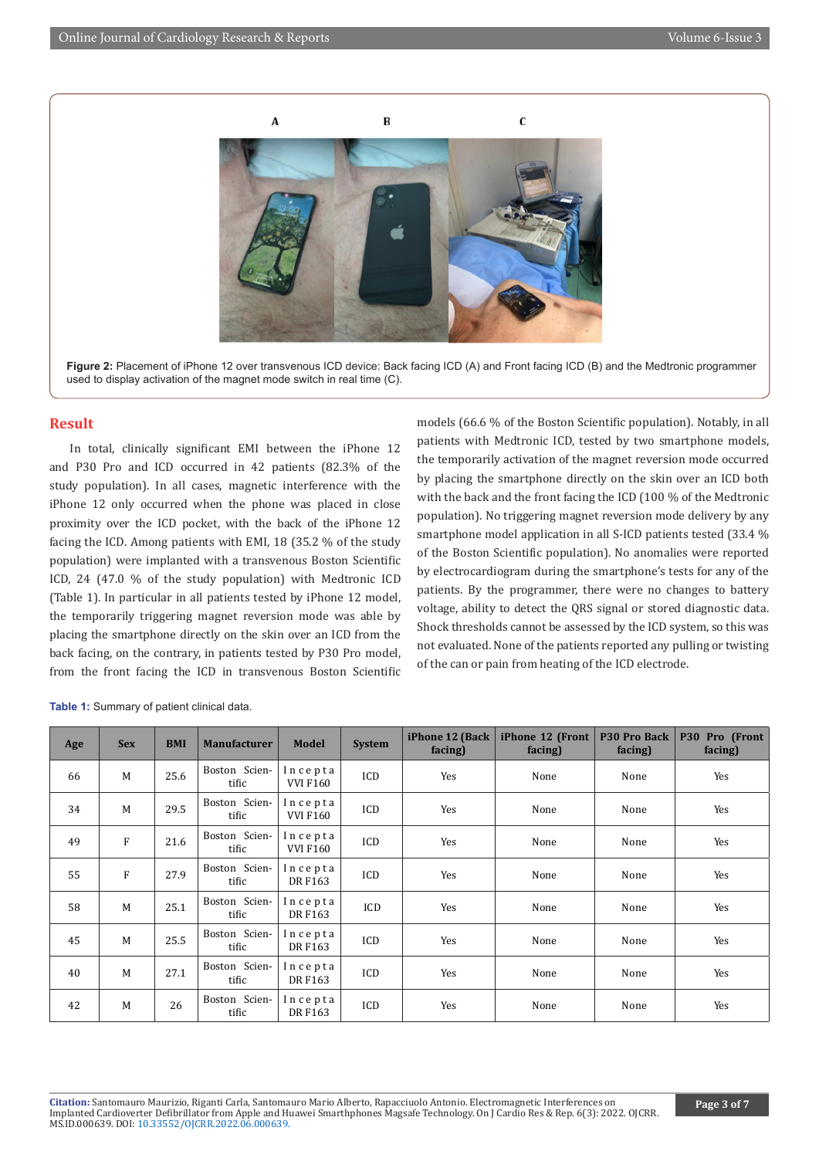

Figure 2: Placement of iPhone 12 over transvenous ICD device: Back facing ICD (A) and Front facing ICD (B) and the Medtronic programmer used to display activation of the magnet mode switch in real time (C).

#### **Result**

In total, clinically significant EMI between the iPhone 12 and P30 Pro and ICD occurred in 42 patients (82.3% of the study population). In all cases, magnetic interference with the iPhone 12 only occurred when the phone was placed in close proximity over the ICD pocket, with the back of the iPhone 12 facing the ICD. Among patients with EMI, 18 (35.2 % of the study population) were implanted with a transvenous Boston Scientific ICD, 24 (47.0 % of the study population) with Medtronic ICD (Table 1). In particular in all patients tested by iPhone 12 model, the temporarily triggering magnet reversion mode was able by placing the smartphone directly on the skin over an ICD from the back facing, on the contrary, in patients tested by P30 Pro model, from the front facing the ICD in transvenous Boston Scientific

models (66.6 % of the Boston Scientific population). Notably, in all patients with Medtronic ICD, tested by two smartphone models, the temporarily activation of the magnet reversion mode occurred by placing the smartphone directly on the skin over an ICD both with the back and the front facing the ICD (100 % of the Medtronic population). No triggering magnet reversion mode delivery by any smartphone model application in all S-ICD patients tested (33.4 % of the Boston Scientific population). No anomalies were reported by electrocardiogram during the smartphone's tests for any of the patients. By the programmer, there were no changes to battery voltage, ability to detect the QRS signal or stored diagnostic data. Shock thresholds cannot be assessed by the ICD system, so this was not evaluated. None of the patients reported any pulling or twisting of the can or pain from heating of the ICD electrode.

| Age | <b>Sex</b> | <b>BMI</b> | <b>Manufacturer</b>    | <b>Model</b>               | <b>System</b> | iPhone 12 (Back<br>facing) | iPhone 12 (Front<br>facing) | <b>P30 Pro Back</b><br>facing) | P30 Pro (Front<br>facing) |
|-----|------------|------------|------------------------|----------------------------|---------------|----------------------------|-----------------------------|--------------------------------|---------------------------|
| 66  | M          | 25.6       | Boston Scien-<br>tific | Incepta<br><b>VVI F160</b> | ICD           | Yes                        | None                        | None                           | Yes                       |
| 34  | M          | 29.5       | Boston Scien-<br>tific | Incepta<br><b>VVI F160</b> | ICD           | Yes                        | None                        | None                           | Yes                       |
| 49  | F          | 21.6       | Boston Scien-<br>tific | Incepta<br><b>VVI F160</b> | ICD           | Yes                        | None                        | None                           | Yes                       |
| 55  | F          | 27.9       | Boston Scien-<br>tific | Incepta<br>DR F163         | ICD           | Yes                        | None                        | None                           | Yes                       |
| 58  | M          | 25.1       | Boston Scien-<br>tific | Incepta<br>DR F163         | ICD           | Yes                        | None                        | None                           | Yes                       |
| 45  | M          | 25.5       | Boston Scien-<br>tific | Incepta<br>DR F163         | ICD           | Yes                        | None                        | None                           | Yes                       |
| 40  | M          | 27.1       | Boston Scien-<br>tific | Incepta<br>DR F163         | ICD           | Yes                        | None                        | None                           | Yes                       |
| 42  | M          | 26         | Boston Scien-<br>tific | Incepta<br>DR F163         | ICD           | Yes                        | None                        | None                           | Yes                       |

**Table 1:** Summary of patient clinical data.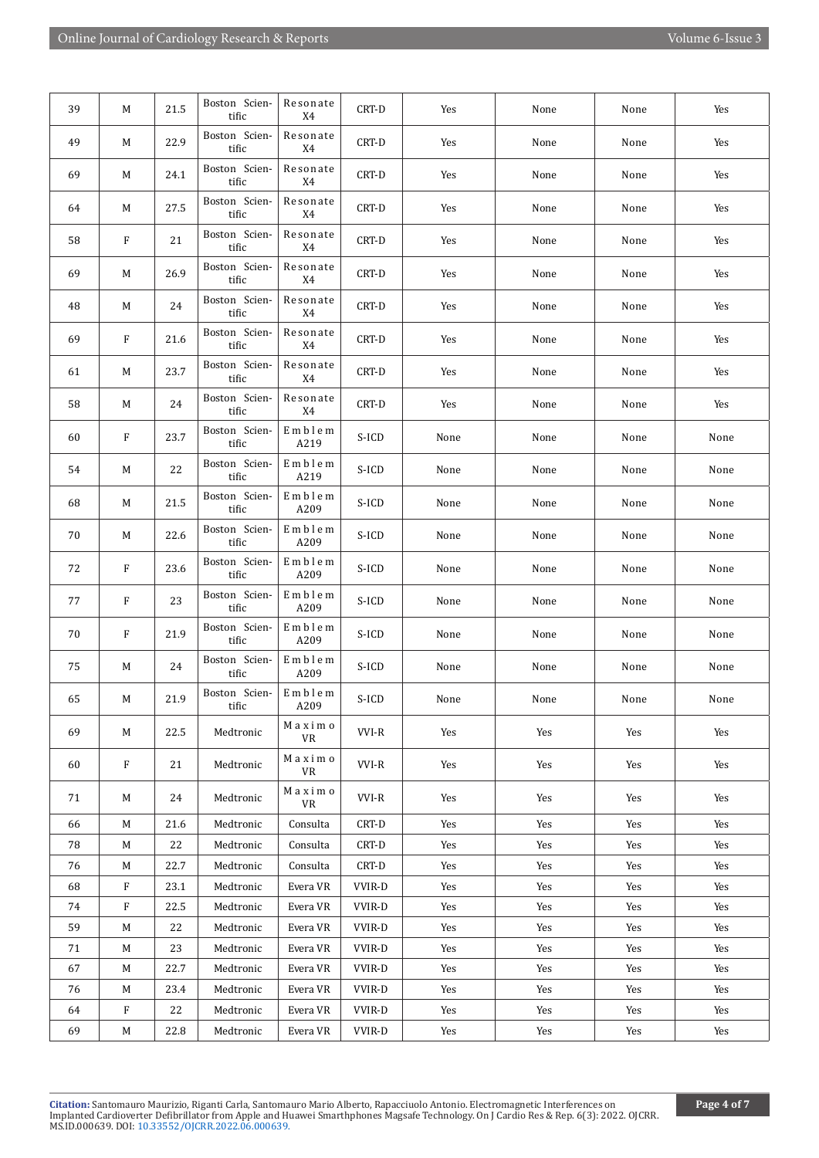| Boston Scien-<br>Resonate<br>49<br>22.9<br>CRT-D<br>М<br>Yes<br>None<br>None<br>Yes<br>tific<br>X4<br>Boston Scien-<br>Resonate<br>69<br>24.1<br>CRT-D<br>М<br>Yes<br>None<br>None<br>Yes<br>tific<br>X4<br>Boston Scien-<br>Resonate<br>27.5<br>CRT-D<br>64<br>М<br>Yes<br>None<br>None<br>Yes<br>tific<br>X4<br>Boston Scien-<br>Resonate<br>21<br>58<br>F<br>CRT-D<br>Yes<br>None<br>None<br>Yes<br>tific<br>X4<br>Boston Scien-<br>Resonate<br>26.9<br>69<br>CRT-D<br>М<br>Yes<br>None<br>Yes<br>None<br>tific<br>X4<br>Boston Scien-<br>Resonate<br>48<br>24<br>CRT-D<br>М<br>Yes<br>None<br>None<br>Yes<br>tific<br>X4<br>Boston Scien-<br>Resonate<br>69<br>F<br>21.6<br>CRT-D<br>Yes<br>None<br>None<br>Yes<br>tific<br>X4<br>Boston Scien-<br>Resonate<br>23.7<br>CRT-D<br>61<br>М<br>Yes<br>None<br>Yes<br>None<br>tific<br>X4<br>Boston Scien-<br>Resonate<br>58<br>24<br>CRT-D<br>М<br>Yes<br>None<br>None<br>Yes<br>tific<br>X4<br>Boston Scien-<br>Emblem<br>23.7<br>F<br>S-ICD<br>60<br>None<br>None<br>None<br>None<br>tific<br>A219<br>Boston Scien-<br>Emblem<br>22<br>54<br>S-ICD<br>M<br>None<br>None<br>None<br>None<br>tific<br>A219<br>Boston Scien-<br>Emblem<br>21.5<br>S-ICD<br>68<br>M<br>None<br>None<br>None<br>None<br>tific<br>A209<br>Boston Scien-<br>Emblem<br>22.6<br>70<br>S-ICD<br>М<br>None<br>None<br>None<br>None<br>tific<br>A209<br>Boston Scien-<br>Emblem<br>23.6<br>72<br>F<br>S-ICD<br>None<br>None<br>None<br>None<br>tific<br>A209<br>Boston Scien-<br>Emblem<br>F<br>23<br>S-ICD<br>77<br>None<br>None<br>None<br>None<br>tific<br>A209<br>Boston Scien-<br>Emblem<br>70<br>F<br>21.9<br>S-ICD<br>None<br>None<br>None<br>None<br>tific<br>A209<br>Boston Scien-<br>${\bf E}$ m b l e m<br>24<br>S-ICD<br>75<br>M<br>None<br>None<br>None<br>None<br>tific<br>A209<br>Boston Scien-<br>Emblem<br>21.9<br>$S-ICD$<br>65<br>М<br>None<br>None<br>None<br>None<br>A209<br>tific<br>Maximo<br>VVI-R<br>69<br>22.5<br>Medtronic<br>Yes<br>Yes<br>Yes<br>M<br>Yes<br>VR<br>$\mathbbmss{M}$ a x i m o<br>$\rm F$<br>21<br>VVI-R<br>60<br>Medtronic<br>Yes<br>Yes<br>Yes<br>Yes<br>VR<br>Maximo<br>VVI-R<br>71<br>24<br>Medtronic<br>Yes<br>Yes<br>Yes<br>M<br>Yes<br>VR<br>21.6<br>CRT-D<br>Yes<br>Yes<br>Yes<br>66<br>М<br>Medtronic<br>Consulta<br>Yes<br>78<br>22<br>Yes<br>Medtronic<br>Consulta<br>CRT-D<br>Yes<br>Yes<br>Yes<br>M<br>76<br>22.7<br>CRT-D<br>Yes<br>Yes<br>М<br>Medtronic<br>Consulta<br>Yes<br>Yes<br>68<br>F<br>23.1<br>Yes<br>Medtronic<br>Evera VR<br>VVIR-D<br>Yes<br>Yes<br>Yes<br>$\mathbf{F}$<br>22.5<br>74<br>Medtronic<br>Evera VR<br>VVIR-D<br>Yes<br>Yes<br>Yes<br>Yes<br>59<br>22<br>Medtronic<br>Evera VR<br>VVIR-D<br>Yes<br>Yes<br>Yes<br>M<br>Yes<br>23<br>71<br>М<br>Medtronic<br>Evera VR<br>VVIR-D<br>Yes<br>Yes<br>Yes<br>Yes<br>22.7<br>67<br>Medtronic<br>Evera VR<br>VVIR-D<br>Yes<br>Yes<br>Yes<br>Yes<br>M<br>23.4<br>76<br>Medtronic<br>Evera VR<br>VVIR-D<br>Yes<br>Yes<br>Yes<br>M<br>Yes<br>F<br>22<br>64<br>Medtronic<br>Evera VR<br>VVIR-D<br>Yes<br>Yes<br>Yes<br>Yes<br>69<br>22.8<br><b>VVIR-D</b><br>М<br>Medtronic<br>Evera VR<br>Yes<br>Yes<br>Yes<br>Yes | 39 | М | 21.5 | Boston Scien-<br>tific | Resonate<br>X4 | CRT-D | Yes | None | None | Yes |
|----------------------------------------------------------------------------------------------------------------------------------------------------------------------------------------------------------------------------------------------------------------------------------------------------------------------------------------------------------------------------------------------------------------------------------------------------------------------------------------------------------------------------------------------------------------------------------------------------------------------------------------------------------------------------------------------------------------------------------------------------------------------------------------------------------------------------------------------------------------------------------------------------------------------------------------------------------------------------------------------------------------------------------------------------------------------------------------------------------------------------------------------------------------------------------------------------------------------------------------------------------------------------------------------------------------------------------------------------------------------------------------------------------------------------------------------------------------------------------------------------------------------------------------------------------------------------------------------------------------------------------------------------------------------------------------------------------------------------------------------------------------------------------------------------------------------------------------------------------------------------------------------------------------------------------------------------------------------------------------------------------------------------------------------------------------------------------------------------------------------------------------------------------------------------------------------------------------------------------------------------------------------------------------------------------------------------------------------------------------------------------------------------------------------------------------------------------------------------------------------------------------------------------------------------------------------------------------------------------------------------------------------------------------------------------------------------------------------------------------------------------------------------------------------------------------------------------------------------------------------------------------------------------------------------------------------------------------------------------------------------------------------------------------------------------------------------------------------------------------------------------------------------------------|----|---|------|------------------------|----------------|-------|-----|------|------|-----|
|                                                                                                                                                                                                                                                                                                                                                                                                                                                                                                                                                                                                                                                                                                                                                                                                                                                                                                                                                                                                                                                                                                                                                                                                                                                                                                                                                                                                                                                                                                                                                                                                                                                                                                                                                                                                                                                                                                                                                                                                                                                                                                                                                                                                                                                                                                                                                                                                                                                                                                                                                                                                                                                                                                                                                                                                                                                                                                                                                                                                                                                                                                                                                                |    |   |      |                        |                |       |     |      |      |     |
|                                                                                                                                                                                                                                                                                                                                                                                                                                                                                                                                                                                                                                                                                                                                                                                                                                                                                                                                                                                                                                                                                                                                                                                                                                                                                                                                                                                                                                                                                                                                                                                                                                                                                                                                                                                                                                                                                                                                                                                                                                                                                                                                                                                                                                                                                                                                                                                                                                                                                                                                                                                                                                                                                                                                                                                                                                                                                                                                                                                                                                                                                                                                                                |    |   |      |                        |                |       |     |      |      |     |
|                                                                                                                                                                                                                                                                                                                                                                                                                                                                                                                                                                                                                                                                                                                                                                                                                                                                                                                                                                                                                                                                                                                                                                                                                                                                                                                                                                                                                                                                                                                                                                                                                                                                                                                                                                                                                                                                                                                                                                                                                                                                                                                                                                                                                                                                                                                                                                                                                                                                                                                                                                                                                                                                                                                                                                                                                                                                                                                                                                                                                                                                                                                                                                |    |   |      |                        |                |       |     |      |      |     |
|                                                                                                                                                                                                                                                                                                                                                                                                                                                                                                                                                                                                                                                                                                                                                                                                                                                                                                                                                                                                                                                                                                                                                                                                                                                                                                                                                                                                                                                                                                                                                                                                                                                                                                                                                                                                                                                                                                                                                                                                                                                                                                                                                                                                                                                                                                                                                                                                                                                                                                                                                                                                                                                                                                                                                                                                                                                                                                                                                                                                                                                                                                                                                                |    |   |      |                        |                |       |     |      |      |     |
|                                                                                                                                                                                                                                                                                                                                                                                                                                                                                                                                                                                                                                                                                                                                                                                                                                                                                                                                                                                                                                                                                                                                                                                                                                                                                                                                                                                                                                                                                                                                                                                                                                                                                                                                                                                                                                                                                                                                                                                                                                                                                                                                                                                                                                                                                                                                                                                                                                                                                                                                                                                                                                                                                                                                                                                                                                                                                                                                                                                                                                                                                                                                                                |    |   |      |                        |                |       |     |      |      |     |
|                                                                                                                                                                                                                                                                                                                                                                                                                                                                                                                                                                                                                                                                                                                                                                                                                                                                                                                                                                                                                                                                                                                                                                                                                                                                                                                                                                                                                                                                                                                                                                                                                                                                                                                                                                                                                                                                                                                                                                                                                                                                                                                                                                                                                                                                                                                                                                                                                                                                                                                                                                                                                                                                                                                                                                                                                                                                                                                                                                                                                                                                                                                                                                |    |   |      |                        |                |       |     |      |      |     |
|                                                                                                                                                                                                                                                                                                                                                                                                                                                                                                                                                                                                                                                                                                                                                                                                                                                                                                                                                                                                                                                                                                                                                                                                                                                                                                                                                                                                                                                                                                                                                                                                                                                                                                                                                                                                                                                                                                                                                                                                                                                                                                                                                                                                                                                                                                                                                                                                                                                                                                                                                                                                                                                                                                                                                                                                                                                                                                                                                                                                                                                                                                                                                                |    |   |      |                        |                |       |     |      |      |     |
|                                                                                                                                                                                                                                                                                                                                                                                                                                                                                                                                                                                                                                                                                                                                                                                                                                                                                                                                                                                                                                                                                                                                                                                                                                                                                                                                                                                                                                                                                                                                                                                                                                                                                                                                                                                                                                                                                                                                                                                                                                                                                                                                                                                                                                                                                                                                                                                                                                                                                                                                                                                                                                                                                                                                                                                                                                                                                                                                                                                                                                                                                                                                                                |    |   |      |                        |                |       |     |      |      |     |
|                                                                                                                                                                                                                                                                                                                                                                                                                                                                                                                                                                                                                                                                                                                                                                                                                                                                                                                                                                                                                                                                                                                                                                                                                                                                                                                                                                                                                                                                                                                                                                                                                                                                                                                                                                                                                                                                                                                                                                                                                                                                                                                                                                                                                                                                                                                                                                                                                                                                                                                                                                                                                                                                                                                                                                                                                                                                                                                                                                                                                                                                                                                                                                |    |   |      |                        |                |       |     |      |      |     |
|                                                                                                                                                                                                                                                                                                                                                                                                                                                                                                                                                                                                                                                                                                                                                                                                                                                                                                                                                                                                                                                                                                                                                                                                                                                                                                                                                                                                                                                                                                                                                                                                                                                                                                                                                                                                                                                                                                                                                                                                                                                                                                                                                                                                                                                                                                                                                                                                                                                                                                                                                                                                                                                                                                                                                                                                                                                                                                                                                                                                                                                                                                                                                                |    |   |      |                        |                |       |     |      |      |     |
|                                                                                                                                                                                                                                                                                                                                                                                                                                                                                                                                                                                                                                                                                                                                                                                                                                                                                                                                                                                                                                                                                                                                                                                                                                                                                                                                                                                                                                                                                                                                                                                                                                                                                                                                                                                                                                                                                                                                                                                                                                                                                                                                                                                                                                                                                                                                                                                                                                                                                                                                                                                                                                                                                                                                                                                                                                                                                                                                                                                                                                                                                                                                                                |    |   |      |                        |                |       |     |      |      |     |
|                                                                                                                                                                                                                                                                                                                                                                                                                                                                                                                                                                                                                                                                                                                                                                                                                                                                                                                                                                                                                                                                                                                                                                                                                                                                                                                                                                                                                                                                                                                                                                                                                                                                                                                                                                                                                                                                                                                                                                                                                                                                                                                                                                                                                                                                                                                                                                                                                                                                                                                                                                                                                                                                                                                                                                                                                                                                                                                                                                                                                                                                                                                                                                |    |   |      |                        |                |       |     |      |      |     |
|                                                                                                                                                                                                                                                                                                                                                                                                                                                                                                                                                                                                                                                                                                                                                                                                                                                                                                                                                                                                                                                                                                                                                                                                                                                                                                                                                                                                                                                                                                                                                                                                                                                                                                                                                                                                                                                                                                                                                                                                                                                                                                                                                                                                                                                                                                                                                                                                                                                                                                                                                                                                                                                                                                                                                                                                                                                                                                                                                                                                                                                                                                                                                                |    |   |      |                        |                |       |     |      |      |     |
|                                                                                                                                                                                                                                                                                                                                                                                                                                                                                                                                                                                                                                                                                                                                                                                                                                                                                                                                                                                                                                                                                                                                                                                                                                                                                                                                                                                                                                                                                                                                                                                                                                                                                                                                                                                                                                                                                                                                                                                                                                                                                                                                                                                                                                                                                                                                                                                                                                                                                                                                                                                                                                                                                                                                                                                                                                                                                                                                                                                                                                                                                                                                                                |    |   |      |                        |                |       |     |      |      |     |
|                                                                                                                                                                                                                                                                                                                                                                                                                                                                                                                                                                                                                                                                                                                                                                                                                                                                                                                                                                                                                                                                                                                                                                                                                                                                                                                                                                                                                                                                                                                                                                                                                                                                                                                                                                                                                                                                                                                                                                                                                                                                                                                                                                                                                                                                                                                                                                                                                                                                                                                                                                                                                                                                                                                                                                                                                                                                                                                                                                                                                                                                                                                                                                |    |   |      |                        |                |       |     |      |      |     |
|                                                                                                                                                                                                                                                                                                                                                                                                                                                                                                                                                                                                                                                                                                                                                                                                                                                                                                                                                                                                                                                                                                                                                                                                                                                                                                                                                                                                                                                                                                                                                                                                                                                                                                                                                                                                                                                                                                                                                                                                                                                                                                                                                                                                                                                                                                                                                                                                                                                                                                                                                                                                                                                                                                                                                                                                                                                                                                                                                                                                                                                                                                                                                                |    |   |      |                        |                |       |     |      |      |     |
|                                                                                                                                                                                                                                                                                                                                                                                                                                                                                                                                                                                                                                                                                                                                                                                                                                                                                                                                                                                                                                                                                                                                                                                                                                                                                                                                                                                                                                                                                                                                                                                                                                                                                                                                                                                                                                                                                                                                                                                                                                                                                                                                                                                                                                                                                                                                                                                                                                                                                                                                                                                                                                                                                                                                                                                                                                                                                                                                                                                                                                                                                                                                                                |    |   |      |                        |                |       |     |      |      |     |
|                                                                                                                                                                                                                                                                                                                                                                                                                                                                                                                                                                                                                                                                                                                                                                                                                                                                                                                                                                                                                                                                                                                                                                                                                                                                                                                                                                                                                                                                                                                                                                                                                                                                                                                                                                                                                                                                                                                                                                                                                                                                                                                                                                                                                                                                                                                                                                                                                                                                                                                                                                                                                                                                                                                                                                                                                                                                                                                                                                                                                                                                                                                                                                |    |   |      |                        |                |       |     |      |      |     |
|                                                                                                                                                                                                                                                                                                                                                                                                                                                                                                                                                                                                                                                                                                                                                                                                                                                                                                                                                                                                                                                                                                                                                                                                                                                                                                                                                                                                                                                                                                                                                                                                                                                                                                                                                                                                                                                                                                                                                                                                                                                                                                                                                                                                                                                                                                                                                                                                                                                                                                                                                                                                                                                                                                                                                                                                                                                                                                                                                                                                                                                                                                                                                                |    |   |      |                        |                |       |     |      |      |     |
|                                                                                                                                                                                                                                                                                                                                                                                                                                                                                                                                                                                                                                                                                                                                                                                                                                                                                                                                                                                                                                                                                                                                                                                                                                                                                                                                                                                                                                                                                                                                                                                                                                                                                                                                                                                                                                                                                                                                                                                                                                                                                                                                                                                                                                                                                                                                                                                                                                                                                                                                                                                                                                                                                                                                                                                                                                                                                                                                                                                                                                                                                                                                                                |    |   |      |                        |                |       |     |      |      |     |
|                                                                                                                                                                                                                                                                                                                                                                                                                                                                                                                                                                                                                                                                                                                                                                                                                                                                                                                                                                                                                                                                                                                                                                                                                                                                                                                                                                                                                                                                                                                                                                                                                                                                                                                                                                                                                                                                                                                                                                                                                                                                                                                                                                                                                                                                                                                                                                                                                                                                                                                                                                                                                                                                                                                                                                                                                                                                                                                                                                                                                                                                                                                                                                |    |   |      |                        |                |       |     |      |      |     |
|                                                                                                                                                                                                                                                                                                                                                                                                                                                                                                                                                                                                                                                                                                                                                                                                                                                                                                                                                                                                                                                                                                                                                                                                                                                                                                                                                                                                                                                                                                                                                                                                                                                                                                                                                                                                                                                                                                                                                                                                                                                                                                                                                                                                                                                                                                                                                                                                                                                                                                                                                                                                                                                                                                                                                                                                                                                                                                                                                                                                                                                                                                                                                                |    |   |      |                        |                |       |     |      |      |     |
|                                                                                                                                                                                                                                                                                                                                                                                                                                                                                                                                                                                                                                                                                                                                                                                                                                                                                                                                                                                                                                                                                                                                                                                                                                                                                                                                                                                                                                                                                                                                                                                                                                                                                                                                                                                                                                                                                                                                                                                                                                                                                                                                                                                                                                                                                                                                                                                                                                                                                                                                                                                                                                                                                                                                                                                                                                                                                                                                                                                                                                                                                                                                                                |    |   |      |                        |                |       |     |      |      |     |
|                                                                                                                                                                                                                                                                                                                                                                                                                                                                                                                                                                                                                                                                                                                                                                                                                                                                                                                                                                                                                                                                                                                                                                                                                                                                                                                                                                                                                                                                                                                                                                                                                                                                                                                                                                                                                                                                                                                                                                                                                                                                                                                                                                                                                                                                                                                                                                                                                                                                                                                                                                                                                                                                                                                                                                                                                                                                                                                                                                                                                                                                                                                                                                |    |   |      |                        |                |       |     |      |      |     |
|                                                                                                                                                                                                                                                                                                                                                                                                                                                                                                                                                                                                                                                                                                                                                                                                                                                                                                                                                                                                                                                                                                                                                                                                                                                                                                                                                                                                                                                                                                                                                                                                                                                                                                                                                                                                                                                                                                                                                                                                                                                                                                                                                                                                                                                                                                                                                                                                                                                                                                                                                                                                                                                                                                                                                                                                                                                                                                                                                                                                                                                                                                                                                                |    |   |      |                        |                |       |     |      |      |     |
|                                                                                                                                                                                                                                                                                                                                                                                                                                                                                                                                                                                                                                                                                                                                                                                                                                                                                                                                                                                                                                                                                                                                                                                                                                                                                                                                                                                                                                                                                                                                                                                                                                                                                                                                                                                                                                                                                                                                                                                                                                                                                                                                                                                                                                                                                                                                                                                                                                                                                                                                                                                                                                                                                                                                                                                                                                                                                                                                                                                                                                                                                                                                                                |    |   |      |                        |                |       |     |      |      |     |
|                                                                                                                                                                                                                                                                                                                                                                                                                                                                                                                                                                                                                                                                                                                                                                                                                                                                                                                                                                                                                                                                                                                                                                                                                                                                                                                                                                                                                                                                                                                                                                                                                                                                                                                                                                                                                                                                                                                                                                                                                                                                                                                                                                                                                                                                                                                                                                                                                                                                                                                                                                                                                                                                                                                                                                                                                                                                                                                                                                                                                                                                                                                                                                |    |   |      |                        |                |       |     |      |      |     |
|                                                                                                                                                                                                                                                                                                                                                                                                                                                                                                                                                                                                                                                                                                                                                                                                                                                                                                                                                                                                                                                                                                                                                                                                                                                                                                                                                                                                                                                                                                                                                                                                                                                                                                                                                                                                                                                                                                                                                                                                                                                                                                                                                                                                                                                                                                                                                                                                                                                                                                                                                                                                                                                                                                                                                                                                                                                                                                                                                                                                                                                                                                                                                                |    |   |      |                        |                |       |     |      |      |     |
|                                                                                                                                                                                                                                                                                                                                                                                                                                                                                                                                                                                                                                                                                                                                                                                                                                                                                                                                                                                                                                                                                                                                                                                                                                                                                                                                                                                                                                                                                                                                                                                                                                                                                                                                                                                                                                                                                                                                                                                                                                                                                                                                                                                                                                                                                                                                                                                                                                                                                                                                                                                                                                                                                                                                                                                                                                                                                                                                                                                                                                                                                                                                                                |    |   |      |                        |                |       |     |      |      |     |
|                                                                                                                                                                                                                                                                                                                                                                                                                                                                                                                                                                                                                                                                                                                                                                                                                                                                                                                                                                                                                                                                                                                                                                                                                                                                                                                                                                                                                                                                                                                                                                                                                                                                                                                                                                                                                                                                                                                                                                                                                                                                                                                                                                                                                                                                                                                                                                                                                                                                                                                                                                                                                                                                                                                                                                                                                                                                                                                                                                                                                                                                                                                                                                |    |   |      |                        |                |       |     |      |      |     |
|                                                                                                                                                                                                                                                                                                                                                                                                                                                                                                                                                                                                                                                                                                                                                                                                                                                                                                                                                                                                                                                                                                                                                                                                                                                                                                                                                                                                                                                                                                                                                                                                                                                                                                                                                                                                                                                                                                                                                                                                                                                                                                                                                                                                                                                                                                                                                                                                                                                                                                                                                                                                                                                                                                                                                                                                                                                                                                                                                                                                                                                                                                                                                                |    |   |      |                        |                |       |     |      |      |     |
|                                                                                                                                                                                                                                                                                                                                                                                                                                                                                                                                                                                                                                                                                                                                                                                                                                                                                                                                                                                                                                                                                                                                                                                                                                                                                                                                                                                                                                                                                                                                                                                                                                                                                                                                                                                                                                                                                                                                                                                                                                                                                                                                                                                                                                                                                                                                                                                                                                                                                                                                                                                                                                                                                                                                                                                                                                                                                                                                                                                                                                                                                                                                                                |    |   |      |                        |                |       |     |      |      |     |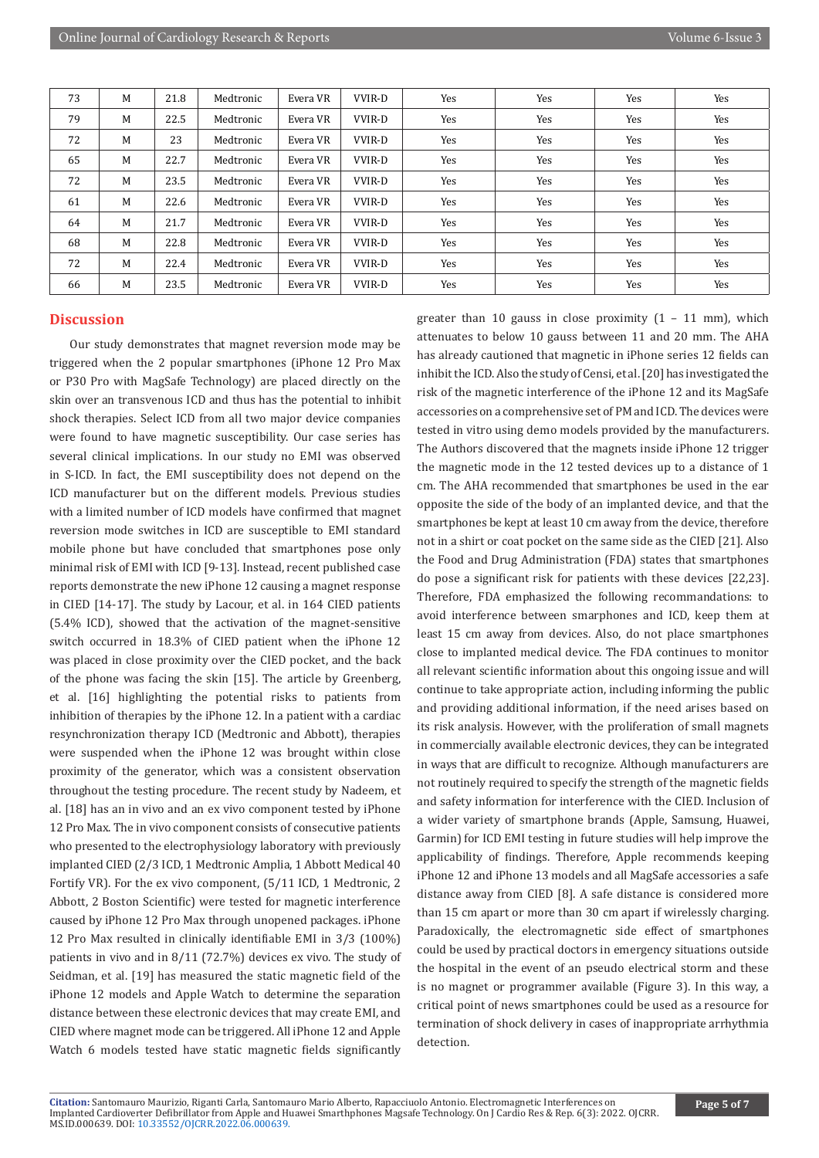| 73 | M | 21.8 | Medtronic | Evera VR | VVIR-D | Yes | Yes | Yes | Yes |
|----|---|------|-----------|----------|--------|-----|-----|-----|-----|
| 79 | M | 22.5 | Medtronic | Evera VR | VVIR-D | Yes | Yes | Yes | Yes |
| 72 | M | 23   | Medtronic | Evera VR | VVIR-D | Yes | Yes | Yes | Yes |
| 65 | M | 22.7 | Medtronic | Evera VR | VVIR-D | Yes | Yes | Yes | Yes |
| 72 | M | 23.5 | Medtronic | Evera VR | VVIR-D | Yes | Yes | Yes | Yes |
| 61 | M | 22.6 | Medtronic | Evera VR | VVIR-D | Yes | Yes | Yes | Yes |
| 64 | М | 21.7 | Medtronic | Evera VR | VVIR-D | Yes | Yes | Yes | Yes |
| 68 | M | 22.8 | Medtronic | Evera VR | VVIR-D | Yes | Yes | Yes | Yes |
| 72 | M | 22.4 | Medtronic | Evera VR | VVIR-D | Yes | Yes | Yes | Yes |
| 66 | M | 23.5 | Medtronic | Evera VR | VVIR-D | Yes | Yes | Yes | Yes |

## **Discussion**

Our study demonstrates that magnet reversion mode may be triggered when the 2 popular smartphones (iPhone 12 Pro Max or P30 Pro with MagSafe Technology) are placed directly on the skin over an transvenous ICD and thus has the potential to inhibit shock therapies. Select ICD from all two major device companies were found to have magnetic susceptibility. Our case series has several clinical implications. In our study no EMI was observed in S-ICD. In fact, the EMI susceptibility does not depend on the ICD manufacturer but on the different models. Previous studies with a limited number of ICD models have confirmed that magnet reversion mode switches in ICD are susceptible to EMI standard mobile phone but have concluded that smartphones pose only minimal risk of EMI with ICD [9-13]. Instead, recent published case reports demonstrate the new iPhone 12 causing a magnet response in CIED [14-17]. The study by Lacour, et al. in 164 CIED patients (5.4% ICD), showed that the activation of the magnet-sensitive switch occurred in 18.3% of CIED patient when the iPhone 12 was placed in close proximity over the CIED pocket, and the back of the phone was facing the skin [15]. The article by Greenberg, et al. [16] highlighting the potential risks to patients from inhibition of therapies by the iPhone 12. In a patient with a cardiac resynchronization therapy ICD (Medtronic and Abbott), therapies were suspended when the iPhone 12 was brought within close proximity of the generator, which was a consistent observation throughout the testing procedure. The recent study by Nadeem, et al. [18] has an in vivo and an ex vivo component tested by iPhone 12 Pro Max. The in vivo component consists of consecutive patients who presented to the electrophysiology laboratory with previously implanted CIED (2/3 ICD, 1 Medtronic Amplia, 1 Abbott Medical 40 Fortify VR). For the ex vivo component, (5/11 ICD, 1 Medtronic, 2 Abbott, 2 Boston Scientific) were tested for magnetic interference caused by iPhone 12 Pro Max through unopened packages. iPhone 12 Pro Max resulted in clinically identifiable EMI in 3/3 (100%) patients in vivo and in 8/11 (72.7%) devices ex vivo. The study of Seidman, et al. [19] has measured the static magnetic field of the iPhone 12 models and Apple Watch to determine the separation distance between these electronic devices that may create EMI, and CIED where magnet mode can be triggered. All iPhone 12 and Apple Watch 6 models tested have static magnetic fields significantly

greater than 10 gauss in close proximity  $(1 - 11 \text{ mm})$ , which attenuates to below 10 gauss between 11 and 20 mm. The AHA has already cautioned that magnetic in iPhone series 12 fields can inhibit the ICD. Also the study of Censi, et al. [20] has investigated the risk of the magnetic interference of the iPhone 12 and its MagSafe accessories on a comprehensive set of PM and ICD. The devices were tested in vitro using demo models provided by the manufacturers. The Authors discovered that the magnets inside iPhone 12 trigger the magnetic mode in the 12 tested devices up to a distance of 1 cm. The AHA recommended that smartphones be used in the ear opposite the side of the body of an implanted device, and that the smartphones be kept at least 10 cm away from the device, therefore not in a shirt or coat pocket on the same side as the CIED [21]. Also the Food and Drug Administration (FDA) states that smartphones do pose a significant risk for patients with these devices [22,23]. Therefore, FDA emphasized the following recommandations: to avoid interference between smarphones and ICD, keep them at least 15 cm away from devices. Also, do not place smartphones close to implanted medical device. The FDA continues to monitor all relevant scientific information about this ongoing issue and will continue to take appropriate action, including informing the public and providing additional information, if the need arises based on its risk analysis. However, with the proliferation of small magnets in commercially available electronic devices, they can be integrated in ways that are difficult to recognize. Although manufacturers are not routinely required to specify the strength of the magnetic fields and safety information for interference with the CIED. Inclusion of a wider variety of smartphone brands (Apple, Samsung, Huawei, Garmin) for ICD EMI testing in future studies will help improve the applicability of findings. Therefore, Apple recommends keeping iPhone 12 and iPhone 13 models and all MagSafe accessories a safe distance away from CIED [8]. A safe distance is considered more than 15 cm apart or more than 30 cm apart if wirelessly charging. Paradoxically, the electromagnetic side effect of smartphones could be used by practical doctors in emergency situations outside the hospital in the event of an pseudo electrical storm and these is no magnet or programmer available (Figure 3). In this way, a critical point of news smartphones could be used as a resource for termination of shock delivery in cases of inappropriate arrhythmia detection.

**Citation:** Santomauro Maurizio, Riganti Carla, Santomauro Mario Alberto, Rapacciuolo Antonio. Electromagnetic Interferences on Implanted Cardioverter Defibrillator from Apple and Huawei Smarthphones Magsafe Technology. On J Cardio Res & Rep. 6(3): 2022. OJCRR. MS.ID.000639. DOI: [10.33552/OJCRR.2022.06.000639.](https://dx.doi.org/10.33552/OJCRR.2022.06.000639)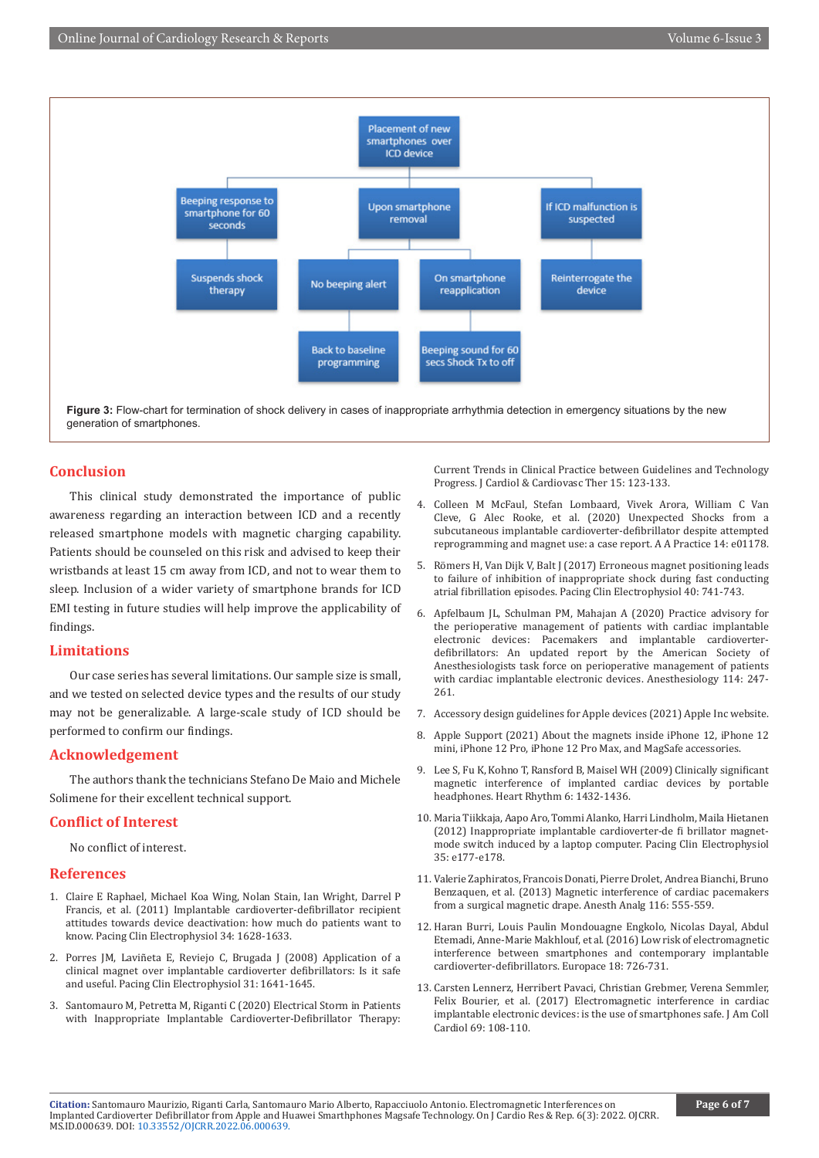

#### **Conclusion**

This clinical study demonstrated the importance of public awareness regarding an interaction between ICD and a recently released smartphone models with magnetic charging capability. Patients should be counseled on this risk and advised to keep their wristbands at least 15 cm away from ICD, and not to wear them to sleep. Inclusion of a wider variety of smartphone brands for ICD EMI testing in future studies will help improve the applicability of findings.

#### **Limitations**

Our case series has several limitations. Our sample size is small, and we tested on selected device types and the results of our study may not be generalizable. A large-scale study of ICD should be performed to confirm our findings.

#### **Acknowledgement**

The authors thank the technicians Stefano De Maio and Michele Solimene for their excellent technical support.

### **Conflict of Interest**

No conflict of interest.

#### **References**

- 1. [Claire E Raphael, Michael Koa Wing, Nolan Stain, Ian Wright, Darrel P](https://pubmed.ncbi.nlm.nih.gov/21955046/)  [Francis, et al. \(2011\) Implantable cardioverter-defibrillator recipient](https://pubmed.ncbi.nlm.nih.gov/21955046/)  [attitudes towards device deactivation: how much do patients want to](https://pubmed.ncbi.nlm.nih.gov/21955046/)  [know. Pacing Clin Electrophysiol 34: 1628-1633.](https://pubmed.ncbi.nlm.nih.gov/21955046/)
- 2. [Porres JM, Laviñeta E, Reviejo C, Brugada J \(2008\) Application of a](https://pubmed.ncbi.nlm.nih.gov/19067820/)  [clinical magnet over implantable cardioverter defibrillators: Is it safe](https://pubmed.ncbi.nlm.nih.gov/19067820/)  [and useful. Pacing Clin Electrophysiol 31: 1641-1645.](https://pubmed.ncbi.nlm.nih.gov/19067820/)
- 3. Santomauro M, Petretta M, Riganti C (2020) Electrical Storm in Patients with Inappropriate Implantable Cardioverter-Defibrillator Therapy:

Current Trends in Clinical Practice between Guidelines and Technology Progress. J Cardiol & Cardiovasc Ther 15: 123-133.

- 4. [Colleen M McFaul, Stefan Lombaard, Vivek Arora, William C Van](https://pubmed.ncbi.nlm.nih.gov/32224692/) [Cleve, G Alec Rooke, et al. \(2020\) Unexpected Shocks from a](https://pubmed.ncbi.nlm.nih.gov/32224692/) [subcutaneous implantable cardioverter-defibrillator despite attempted](https://pubmed.ncbi.nlm.nih.gov/32224692/) [reprogramming and magnet use: a case report. A A Practice 14: e01178.](https://pubmed.ncbi.nlm.nih.gov/32224692/)
- 5. [Römers H, Van Dijk V, Balt J \(2017\) Erroneous magnet positioning leads](https://pubmed.ncbi.nlm.nih.gov/28326565/) [to failure of inhibition of inappropriate shock during fast conducting](https://pubmed.ncbi.nlm.nih.gov/28326565/) [atrial fibrillation episodes. Pacing Clin Electrophysiol 40: 741-743.](https://pubmed.ncbi.nlm.nih.gov/28326565/)
- 6. [Apfelbaum JL, Schulman PM, Mahajan A \(2020\) Practice advisory for](https://pubmed.ncbi.nlm.nih.gov/21245737/) [the perioperative management of patients with cardiac implantable](https://pubmed.ncbi.nlm.nih.gov/21245737/) [electronic devices: Pacemakers and implantable cardioverter](https://pubmed.ncbi.nlm.nih.gov/21245737/)[defibrillators: An updated report by the American Society of](https://pubmed.ncbi.nlm.nih.gov/21245737/) [Anesthesiologists task force on perioperative management of patients](https://pubmed.ncbi.nlm.nih.gov/21245737/) [with cardiac implantable electronic devices. Anesthesiology 114: 247-](https://pubmed.ncbi.nlm.nih.gov/21245737/) [261.](https://pubmed.ncbi.nlm.nih.gov/21245737/)
- 7. Accessory design guidelines for Apple devices (2021) Apple Inc website.
- 8. Apple Support (2021) About the magnets inside iPhone 12, iPhone 12 mini, iPhone 12 Pro, iPhone 12 Pro Max, and MagSafe accessories.
- 9. [Lee S, Fu K, Kohno T, Ransford B, Maisel WH \(2009\) Clinically significant](https://pubmed.ncbi.nlm.nih.gov/19968922/) [magnetic interference of implanted cardiac devices by portable](https://pubmed.ncbi.nlm.nih.gov/19968922/) [headphones. Heart Rhythm 6: 1432-1436.](https://pubmed.ncbi.nlm.nih.gov/19968922/)
- 10. [Maria Tiikkaja, Aapo Aro, Tommi Alanko, Harri Lindholm, Maila Hietanen](https://pubmed.ncbi.nlm.nih.gov/22353166/) [\(2012\) Inappropriate implantable cardioverter-de fi brillator magnet](https://pubmed.ncbi.nlm.nih.gov/22353166/)[mode switch induced by a laptop computer. Pacing Clin Electrophysiol](https://pubmed.ncbi.nlm.nih.gov/22353166/) [35: e177-e178.](https://pubmed.ncbi.nlm.nih.gov/22353166/)
- 11. [Valerie Zaphiratos, Francois Donati, Pierre Drolet, Andrea Bianchi, Bruno](https://pubmed.ncbi.nlm.nih.gov/23400981/) [Benzaquen, et al. \(2013\) Magnetic interference of cardiac pacemakers](https://pubmed.ncbi.nlm.nih.gov/23400981/) [from a surgical magnetic drape. Anesth Analg 116: 555-559.](https://pubmed.ncbi.nlm.nih.gov/23400981/)
- 12. [Haran Burri, Louis Paulin Mondouagne Engkolo, Nicolas Dayal, Abdul](https://pubmed.ncbi.nlm.nih.gov/26857191/) [Etemadi, Anne-Marie Makhlouf, et al. \(2016\) Low risk of electromagnetic](https://pubmed.ncbi.nlm.nih.gov/26857191/) [interference between smartphones and contemporary implantable](https://pubmed.ncbi.nlm.nih.gov/26857191/) [cardioverter-defibrillators. Europace 18: 726-731.](https://pubmed.ncbi.nlm.nih.gov/26857191/)
- 13. [Carsten Lennerz, Herribert Pavaci, Christian Grebmer, Verena Semmler,](https://pubmed.ncbi.nlm.nih.gov/28057236/) [Felix Bourier, et al. \(2017\) Electromagnetic interference in cardiac](https://pubmed.ncbi.nlm.nih.gov/28057236/) [implantable electronic devices: is the use of smartphones safe. J Am Coll](https://pubmed.ncbi.nlm.nih.gov/28057236/) [Cardiol 69: 108-110.](https://pubmed.ncbi.nlm.nih.gov/28057236/)